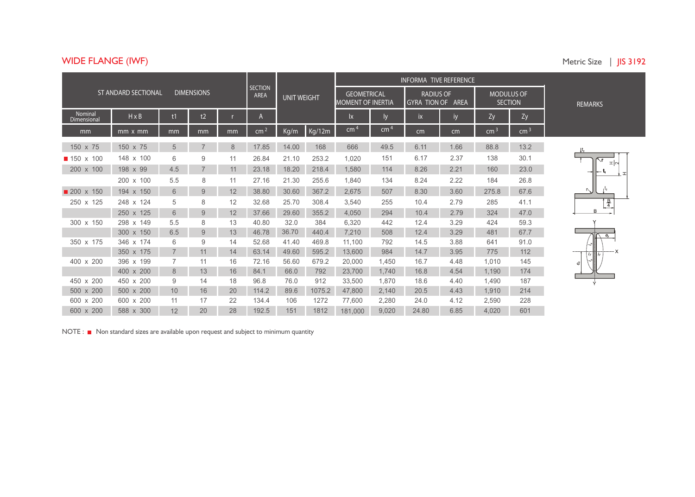## **WIDE FLANGE (IWF)** Metric Size | **JI**

| Metric Size |  | $\parallel$ IS 3192 |
|-------------|--|---------------------|
|             |  |                     |

|                        |                            |                 |                   |    |                               |                    |        | INFORMA TIVE REFERENCE                         |                 |                                                 |      |                                     |                 |                      |
|------------------------|----------------------------|-----------------|-------------------|----|-------------------------------|--------------------|--------|------------------------------------------------|-----------------|-------------------------------------------------|------|-------------------------------------|-----------------|----------------------|
|                        | <b>ST ANDARD SECTIONAL</b> |                 | <b>DIMENSIONS</b> |    | <b>SECTION</b><br><b>AREA</b> | <b>UNIT WEIGHT</b> |        | <b>GEOMETRICAL</b><br><b>MOMENT OF INERTIA</b> |                 | <b>RADIUS OF</b><br><b>GYRA TION OF</b><br>AREA |      | <b>MODULUS OF</b><br><b>SECTION</b> |                 | <b>REMARKS</b>       |
| Nominal<br>Dimensional | $H \times B$               | t1              | t2                |    | $\mathsf{A}$                  |                    |        | lx                                             | l٧              | <b>ix</b>                                       | iy   | Zy                                  | Zy              |                      |
| mm                     | $mm \times mm$             | mm              | mm                | mm | cm <sup>2</sup>               | Kg/m               | Kg/12m | cm <sup>2</sup>                                | cm <sup>4</sup> | cm                                              | cm   | cm <sup>3</sup>                     | cm <sup>3</sup> |                      |
| 150 x 75               | 150 x 75                   | 5               |                   | 8  | 17.85                         | 14.00              | 168    | 666                                            | 49.5            | 6.11                                            | 1.66 | 88.8                                | 13.2            |                      |
| ■ 150 x 100            | 148 x 100                  | 6               | 9                 | 11 | 26.84                         | 21.10              | 253.2  | 1.020                                          | 151             | 6.17                                            | 2.37 | 138                                 | 30.1            | $\mathbb{Z} \alpha $ |
| 200 x 100              | 198 x 99                   | 4.5             | $\overline{7}$    | 11 | 23.18                         | 18.20              | 218.4  | 1,580                                          | 114             | 8.26                                            | 2.21 | 160                                 | 23.0            | $\top$               |
|                        | 200 x 100                  | 5.5             | 8                 | 11 | 27.16                         | 21.30              | 255.6  | 1.840                                          | 134             | 8.24                                            | 2.22 | 184                                 | 26.8            |                      |
| 200 x 150              | 194 x 150                  | 6               | 9                 | 12 | 38.80                         | 30.60              | 367.2  | 2,675                                          | 507             | 8.30                                            | 3.60 | 275.8                               | 67.6            | $\sim$               |
| 250 x 125              | 248 x 124                  | 5               | 8                 | 12 | 32.68                         | 25.70              | 308.4  | 3.540                                          | 255             | 10.4                                            | 2.79 | 285                                 | 41.1            | $\frac{B}{4}$        |
|                        | 250 x 125                  | 6               | 9                 | 12 | 37.66                         | 29.60              | 355.2  | 4,050                                          | 294             | 10.4                                            | 2.79 | 324                                 | 47.0            | B                    |
| 300 x 150              | 298 x 149                  | 5.5             | 8                 | 13 | 40.80                         | 32.0               | 384    | 6.320                                          | 442             | 12.4                                            | 3.29 | 424                                 | 59.3            |                      |
|                        | 300 x 150                  | 6.5             | 9                 | 13 | 46.78                         | 36.70              | 440.4  | 7,210                                          | 508             | 12.4                                            | 3.29 | 481                                 | 67.7            | $e_{\text{v}}$       |
| 350 x 175              | 346 x 174                  | 6               | 9                 | 14 | 52.68                         | 41.40              | 469.8  | 11.100                                         | 792             | 14.5                                            | 3.88 | 641                                 | 91.0            |                      |
|                        | 350 x 175                  |                 | 11                | 14 | 63.14                         | 49.60              | 595.2  | 13,600                                         | 984             | 14.7                                            | 3.95 | 775                                 | 112             |                      |
| 400 x 200              | 396 x 199                  |                 | 11                | 16 | 72.16                         | 56.60              | 679.2  | 20,000                                         | 1.450           | 16.7                                            | 4.48 | 1.010                               | 145             | ര്                   |
|                        | 400 x 200                  | 8               | 13                | 16 | 84.1                          | 66.0               | 792    | 23,700                                         | 1,740           | 16.8                                            | 4.54 | 1,190                               | 174             |                      |
| 450 x 200              | 450 x 200                  | 9               | 14                | 18 | 96.8                          | 76.0               | 912    | 33,500                                         | 1,870           | 18.6                                            | 4.40 | 1.490                               | 187             |                      |
| 500 x 200              | 500 x 200                  | 10 <sup>°</sup> | 16                | 20 | 114.2                         | 89.6               | 1075.2 | 47,800                                         | 2,140           | 20.5                                            | 4.43 | 1,910                               | 214             |                      |
| 600 x 200              | 600 x 200                  | 11              | 17                | 22 | 134.4                         | 106                | 1272   | 77,600                                         | 2,280           | 24.0                                            | 4.12 | 2,590                               | 228             |                      |
| 600 x 200              | 588 x 300                  | 12              | 20                | 28 | 192.5                         | 151                | 1812   | 181,000                                        | 9,020           | 24.80                                           | 6.85 | 4,020                               | 601             |                      |

NOTE :  $\blacksquare$  Non standard sizes are available upon request and subject to minimum quantity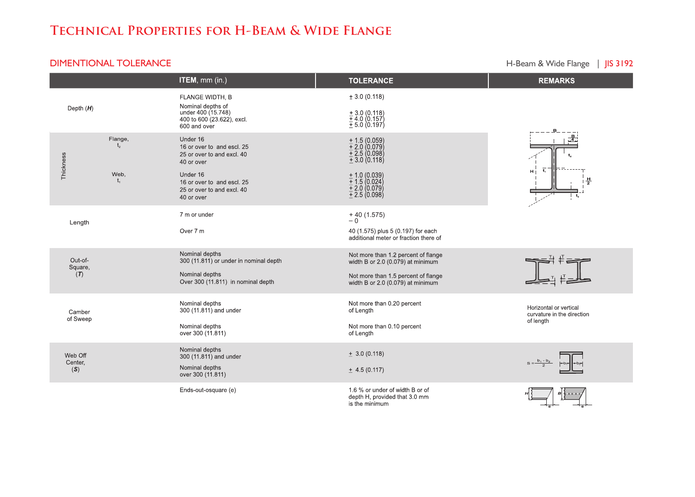# **Technical Properties for H-Beam & Wide Flange**

#### **DIMENTIONAL TOLERANCE Example 2018 12:31 A CONFIDENTIONAL TOLERANCE CONFIDENTIONAL TOLERANCE**

|                           |         | ITEM, mm (in.)                                                                                                   | <b>TOLERANCE</b>                                                                                                                                     | <b>REMARKS</b>                                                    |
|---------------------------|---------|------------------------------------------------------------------------------------------------------------------|------------------------------------------------------------------------------------------------------------------------------------------------------|-------------------------------------------------------------------|
| Depth $(H)$               |         | FLANGE WIDTH, B<br>Nominal depths of<br>under 400 (15.748)<br>400 to 600 (23.622), excl.<br>600 and over         | ± 3.0(0.118)<br>$\pm$ 3.0 (0.118)<br>$\pm$ 4.0 (0.157)<br>$\pm$ 5.0 (0.197)                                                                          |                                                                   |
| Thickness                 | Flange, | Under 16<br>16 or over to and escl. 25<br>25 or over to and excl. 40<br>40 or over                               | $\begin{array}{l} 1.5 \ (0.059) \\ + 2.0 \ (0.079) \\ + 2.5 \ (0.098) \\ + 3.0 \ (0.118) \end{array}$                                                | 훆                                                                 |
|                           | Web.    | Under 16<br>16 or over to and escl. 25<br>25 or over to and excl. 40<br>40 or over                               | $\begin{array}{l} 1.0~(0.039)\\ 1.5~(0.024)\\ 1.5~(0.024)\\ 1.2.0~(0.079)\\ 1.2.5~(0.098) \end{array}$                                               | H.<br>븧<br>$t_{2}$                                                |
| Length                    |         | 7 m or under<br>Over 7 m                                                                                         | $+40(1.575)$<br>-0<br>40 (1.575) plus 5 (0.197) for each<br>additional meter or fraction there of                                                    |                                                                   |
| Out-of-<br>Square,<br>(T) |         | Nominal depths<br>300 (11.811) or under in nominal depth<br>Nominal depths<br>Over 300 (11.811) in nominal depth | Not more than 1.2 percent of flange<br>width B or 2.0 (0.079) at minimum<br>Not more than 1.5 percent of flange<br>width B or 2.0 (0.079) at minimum |                                                                   |
| Camber<br>of Sweep        |         | Nominal depths<br>300 (11.811) and under<br>Nominal depths<br>over 300 (11.811)                                  | Not more than 0.20 percent<br>of Length<br>Not more than 0.10 percent<br>of Length                                                                   | Horizontal or vertical<br>curvature in the direction<br>of length |
| Web Off<br>Center,<br>(S) |         | Nominal depths<br>300 (11.811) and under<br>Nominal depths<br>over 300 (11.811)                                  | $\pm$ 3.0 (0.118)<br>$\pm$ 4.5 (0.117)                                                                                                               |                                                                   |
|                           |         | Ends-out-osquare (e)                                                                                             | 1.6 % or under of width B or of<br>depth H, provided that 3.0 mm<br>is the minimum                                                                   |                                                                   |